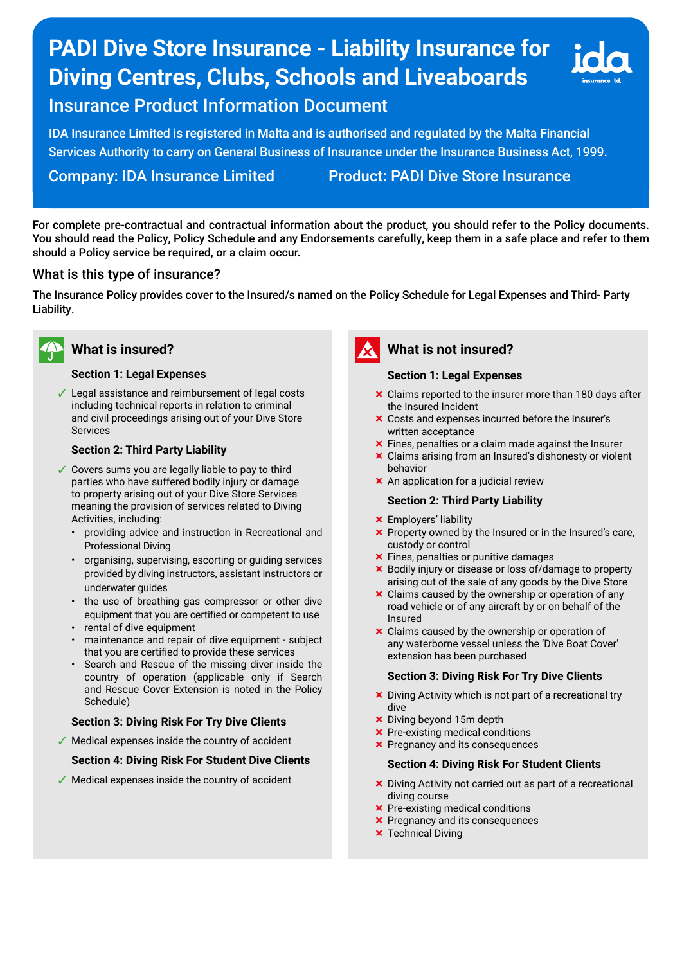# **PADI Dive Store Insurance - Liability Insurance for Diving Centres, Clubs, Schools and Liveaboards**



## Insurance Product Information Document

IDA Insurance Limited is registered in Malta and is authorised and regulated by the Malta Financial Services Authority to carry on General Business of Insurance under the Insurance Business Act, 1999.

Company: IDA Insurance Limited Product: PADI Dive Store Insurance

For complete pre-contractual and contractual information about the product, you should refer to the Policy documents. You should read the Policy, Policy Schedule and any Endorsements carefully, keep them in a safe place and refer to them should a Policy service be required, or a claim occur.

## What is this type of insurance?

The Insurance Policy provides cover to the Insured/s named on the Policy Schedule for Legal Expenses and Third- Party Liability.



## **What is insured?**

#### **Section 1: Legal Expenses**

✓ Legal assistance and reimbursement of legal costs including technical reports in relation to criminal and civil proceedings arising out of your Dive Store Services

#### **Section 2: Third Party Liability**

- ✓ Covers sums you are legally liable to pay to third parties who have suffered bodily injury or damage to property arising out of your Dive Store Services meaning the provision of services related to Diving Activities, including:
	- providing advice and instruction in Recreational and Professional Diving
	- organising, supervising, escorting or guiding services provided by diving instructors, assistant instructors or underwater guides
	- the use of breathing gas compressor or other dive equipment that you are certifed or competent to use
	- rental of dive equipment
	- maintenance and repair of dive equipment subject that you are certifed to provide these services
	- Search and Rescue of the missing diver inside the country of operation (applicable only if Search and Rescue Cover Extension is noted in the Policy Schedule)

#### **Section 3: Diving Risk For Try Dive Clients**

 $\sqrt{\ }$  Medical expenses inside the country of accident

#### **Section 4: Diving Risk For Student Dive Clients**

✓ Medical expenses inside the country of accident



## **What is not insured?**

#### **Section 1: Legal Expenses**

- **x** Claims reported to the insurer more than 180 days after the Insured Incident
- ³ Costs and expenses incurred before the Insurer's written acceptance
- $\times$  Fines, penalties or a claim made against the Insurer
- $\times$  Claims arising from an Insured's dishonesty or violent behavior
- **x** An application for a judicial review

#### **Section 2: Third Party Liability**

- **x** Employers' liability
- $\times$  Property owned by the Insured or in the Insured's care, custody or control
- **x** Fines, penalties or punitive damages
- ³ Bodily injury or disease or loss of/damage to property arising out of the sale of any goods by the Dive Store
- $\times$  Claims caused by the ownership or operation of any road vehicle or of any aircraft by or on behalf of the Insured
- **x** Claims caused by the ownership or operation of any waterborne vessel unless the 'Dive Boat Cover' extension has been purchased

#### **Section 3: Diving Risk For Try Dive Clients**

- $\times$  Diving Activity which is not part of a recreational try dive
- $\times$  Diving beyond 15m depth
- **x** Pre-existing medical conditions
- $\times$  Pregnancy and its consequences

#### **Section 4: Diving Risk For Student Clients**

- $\times$  Diving Activity not carried out as part of a recreational diving course
- **x** Pre-existing medical conditions
- $\times$  Pregnancy and its consequences
- **x** Technical Diving